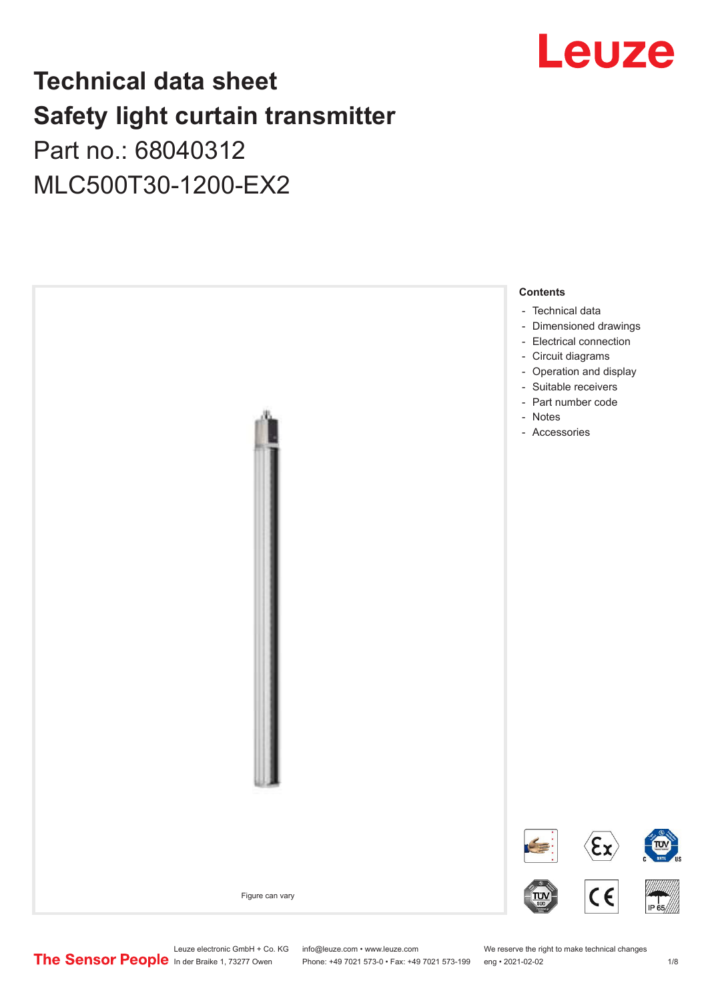

# **Technical data sheet Safety light curtain transmitter** Part no.: 68040312

MLC500T30-1200-EX2



Leuze electronic GmbH + Co. KG info@leuze.com • www.leuze.com We reserve the right to make technical changes<br>
The Sensor People in der Braike 1, 73277 Owen Phone: +49 7021 573-0 • Fax: +49 7021 573-199 eng • 2021-02-02

Phone: +49 7021 573-0 • Fax: +49 7021 573-199 eng • 2021-02-02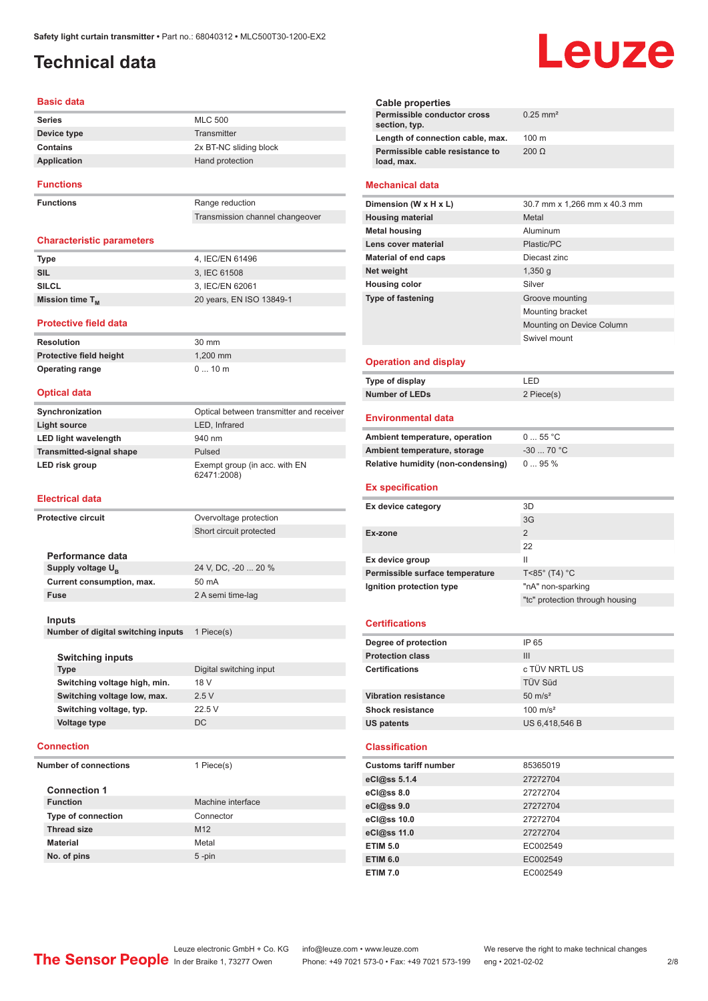# <span id="page-1-0"></span>**Technical data**

#### **Basic data**

| <b>Series</b>    | <b>MLC 500</b>         |
|------------------|------------------------|
| Device type      | Transmitter            |
| Contains         | 2x BT-NC sliding block |
| Application      | Hand protection        |
| <b>Functions</b> |                        |

**Functions** Range reduction

Transmission channel changeover

#### **Characteristic parameters**

| Type                 | 4. IEC/EN 61496          |
|----------------------|--------------------------|
| SIL                  | 3. IEC 61508             |
| <b>SILCL</b>         | 3. IEC/EN 62061          |
| Mission time $T_{M}$ | 20 years, EN ISO 13849-1 |

#### **Protective field data**

**Resolution** 30 mm **Protective field height** 1,200 mm **Operating range** 0 ... 10 m

#### **Optical data**

| Synchronization                 | Optical between transmitter and receiver     |
|---------------------------------|----------------------------------------------|
| <b>Light source</b>             | LED, Infrared                                |
| <b>LED light wavelength</b>     | 940 nm                                       |
| <b>Transmitted-signal shape</b> | Pulsed                                       |
| LED risk group                  | Exempt group (in acc. with EN<br>62471:2008) |

#### **Electrical data**

| Protective circuit                 |                               | Overvoltage protection  |
|------------------------------------|-------------------------------|-------------------------|
|                                    |                               | Short circuit protected |
|                                    |                               |                         |
|                                    | Performance data              |                         |
|                                    | Supply voltage U <sub>B</sub> | 24 V, DC, -20  20 %     |
|                                    | Current consumption, max.     | 50 mA                   |
|                                    | <b>Fuse</b>                   | 2 A semi time-lag       |
|                                    |                               |                         |
|                                    | Inputs                        |                         |
| Number of digital switching inputs |                               | 1 Piece(s)              |
|                                    |                               |                         |
|                                    | <b>Switching inputs</b>       |                         |
|                                    | <b>Type</b>                   | Digital switching input |
|                                    | Switching voltage high, min.  | 18 V                    |
|                                    | Switching voltage low, max.   | 2.5V                    |
|                                    | Switching voltage, typ.       | 22.5 V                  |
|                                    | <b>Voltage type</b>           | <b>DC</b>               |
|                                    |                               |                         |
|                                    | <b>Connection</b>             |                         |
| <b>Number of connections</b>       |                               | 1 Piece(s)              |
|                                    |                               |                         |
|                                    | <b>Connection 1</b>           |                         |

| <b>Function</b>           | Machine interface |
|---------------------------|-------------------|
| <b>Type of connection</b> | Connector         |
| <b>Thread size</b>        | M <sub>12</sub>   |
| <b>Material</b>           | Metal             |
| No. of pins               | $5$ -pin          |

|                          | <b>Cable properties</b>                       |                              |
|--------------------------|-----------------------------------------------|------------------------------|
|                          | Permissible conductor cross<br>section, typ.  | $0.25$ mm <sup>2</sup>       |
|                          | Length of connection cable, max.              | $100 \text{ m}$              |
|                          | Permissible cable resistance to<br>load, max. | $200 \Omega$                 |
|                          | <b>Mechanical data</b>                        |                              |
|                          | Dimension (W x H x L)                         | 30.7 mm x 1,266 mm x 40.3 mm |
|                          | <b>Housing material</b>                       | Metal                        |
|                          | <b>Metal housing</b>                          | Aluminum                     |
|                          | Lens cover material                           | Plastic/PC                   |
|                          | <b>Material of end caps</b>                   | Diecast zinc                 |
| Net weight               |                                               | 1,350q                       |
|                          | <b>Housing color</b>                          | Silver                       |
| <b>Type of fastening</b> |                                               | Groove mounting              |
|                          |                                               | Mounting bracket             |
|                          |                                               | Mounting on Device Column    |
|                          |                                               | Swivel mount                 |
|                          | <b>Operation and display</b>                  |                              |
|                          | Type of display                               | I FD                         |
|                          | <b>Number of LEDs</b>                         | 2 Piece(s)                   |
|                          | <b>Environmental data</b>                     |                              |
|                          | Ambient temperature, operation                | 055 °C                       |
|                          | Ambient temperature, storage                  | -30  70 °C                   |

#### **Permissible surface temperature** T<85° (T4) °C

**Ex specification**

# **Ignition protection type** "nA" non-sparking "tc" protection through housing

3G

22

**Relative humidity (non-condensing)** 0 ... 95 %

**Ex device category** 3D

**Ex-zone** 2

**Ex device group II** 

#### **Certifications**

| Degree of protection        | IP 65               |
|-----------------------------|---------------------|
| <b>Protection class</b>     | Ш                   |
| <b>Certifications</b>       | c TÜV NRTL US       |
|                             | <b>TÜV Süd</b>      |
| <b>Vibration resistance</b> | $50 \text{ m/s}^2$  |
| <b>Shock resistance</b>     | $100 \text{ m/s}^2$ |
| <b>US patents</b>           | US 6,418,546 B      |
|                             |                     |

#### **Classification**

| <b>Customs tariff number</b> | 85365019 |
|------------------------------|----------|
| eCl@ss 5.1.4                 | 27272704 |
| eCl@ss 8.0                   | 27272704 |
| eCl@ss 9.0                   | 27272704 |
| eCl@ss 10.0                  | 27272704 |
| eCl@ss 11.0                  | 27272704 |
| <b>ETIM 5.0</b>              | EC002549 |
| <b>ETIM 6.0</b>              | EC002549 |
| <b>ETIM 7.0</b>              | EC002549 |

Leuze electronic GmbH + Co. KG info@leuze.com • www.leuze.com We reserve the right to make technical changes<br>
The Sensor People in der Braike 1, 73277 Owen Phone: +49 7021 573-0 • Fax: +49 7021 573-199 eng • 2021-02-02

Phone: +49 7021 573-0 • Fax: +49 7021 573-199 eng • 2021-02-02

# **AI17A**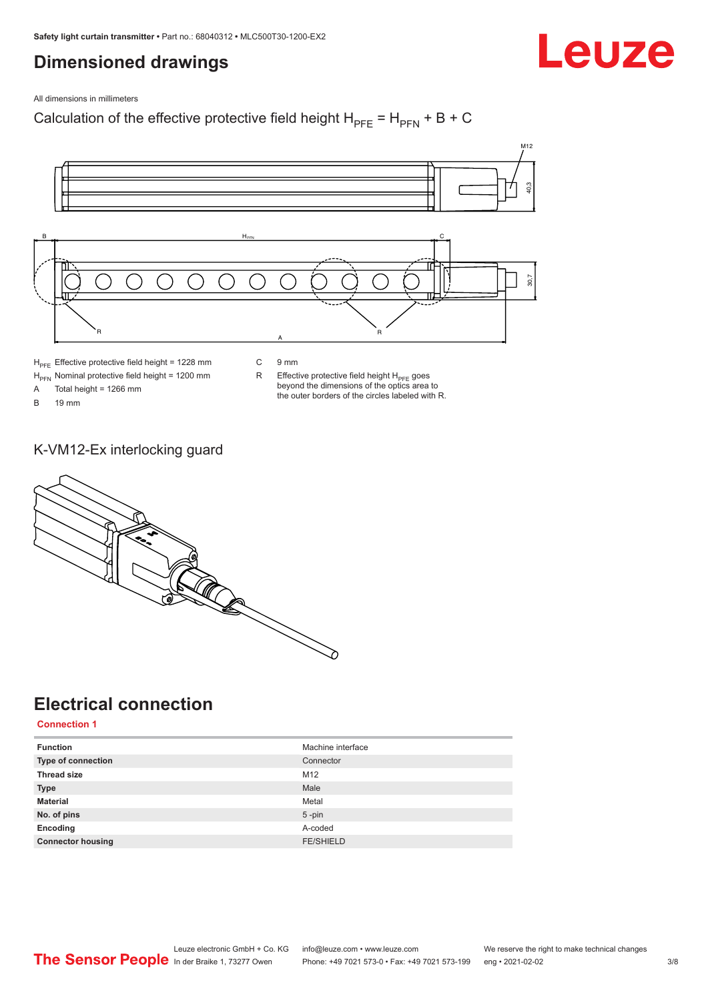# <span id="page-2-0"></span>**Dimensioned drawings**

Leuze

All dimensions in millimeters

Calculation of the effective protective field height  $H_{PFE} = H_{PFN} + B + C$ 



 $H<sub>PFE</sub>$  Effective protective field height = 1228 mm

 $H_{\text{PFN}}$  Nominal protective field height = 1200 mm<br>A Total height = 1266 mm

Total height = 1266 mm

B 19 mm

C 9 mm

 $R$  Effective protective field height  $H_{PFE}$  goes beyond the dimensions of the optics area to the outer borders of the circles labeled with R.

K-VM12-Ex interlocking guard



# **Electrical connection**

**Connection 1**

| <b>Function</b>          | Machine interface |
|--------------------------|-------------------|
| Type of connection       | Connector         |
| <b>Thread size</b>       | M12               |
| <b>Type</b>              | Male              |
| <b>Material</b>          | Metal             |
| No. of pins              | $5 - pin$         |
| Encoding                 | A-coded           |
| <b>Connector housing</b> | <b>FE/SHIELD</b>  |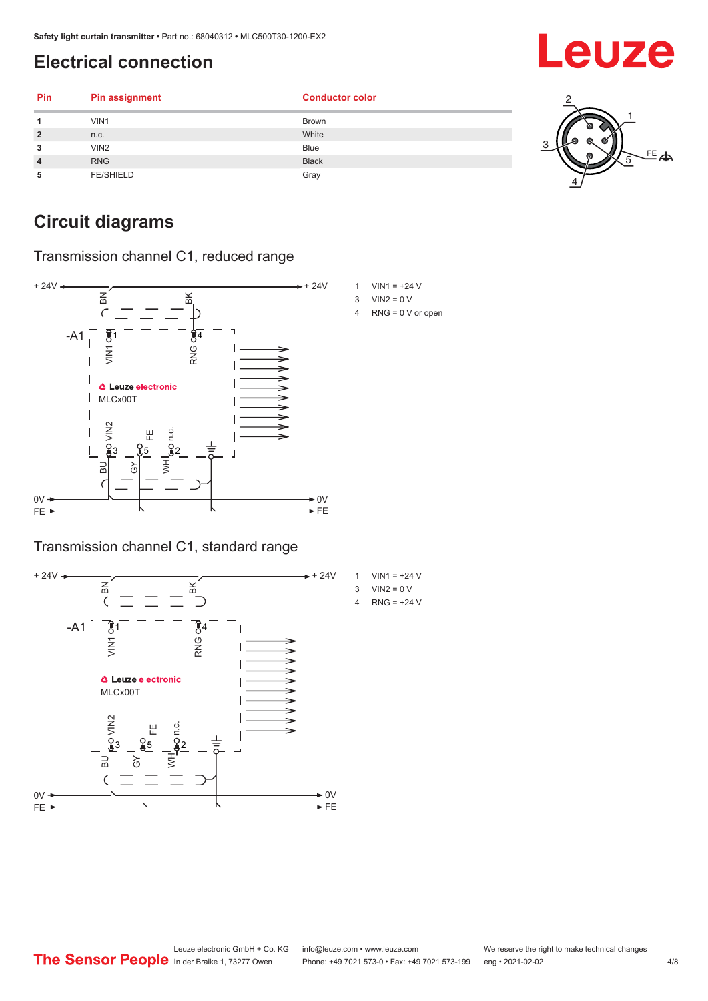# <span id="page-3-0"></span>**Electrical connection**

| Pin            | <b>Pin assignment</b> | <b>Conductor color</b> |                |
|----------------|-----------------------|------------------------|----------------|
|                | VIN1                  | <b>Brown</b>           |                |
| $\overline{2}$ | n.c.                  | White                  |                |
| 3              | VIN2                  | <b>Blue</b>            |                |
| $\overline{4}$ | <b>RNG</b>            | <b>Black</b>           | $\overline{E}$ |
| 5              | <b>FE/SHIELD</b>      | Gray                   |                |

# **Circuit diagrams**

Transmission channel C1, reduced range



### Transmission channel C1, standard range





- $3$  VIN2 = 0 V
- 4 RNG = 0 V or open

Leuze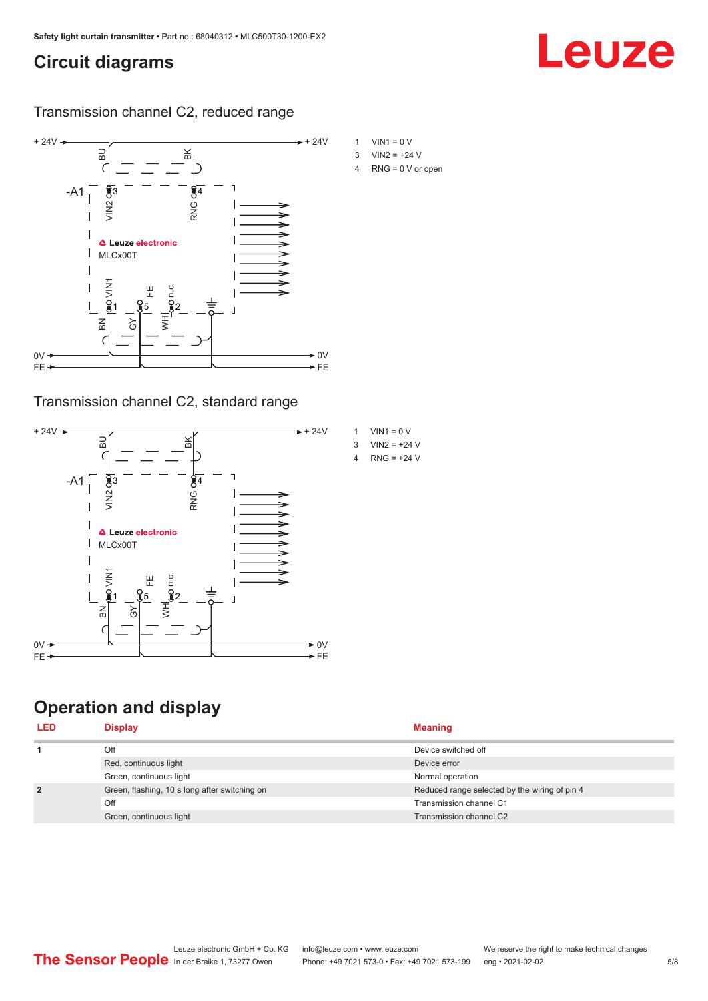# <span id="page-4-0"></span>**Circuit diagrams**

### Transmission channel C2, reduced range



### Transmission channel C2, standard range



# **Operation and display**

- 
- 4 RNG = 0 V or open

Leuze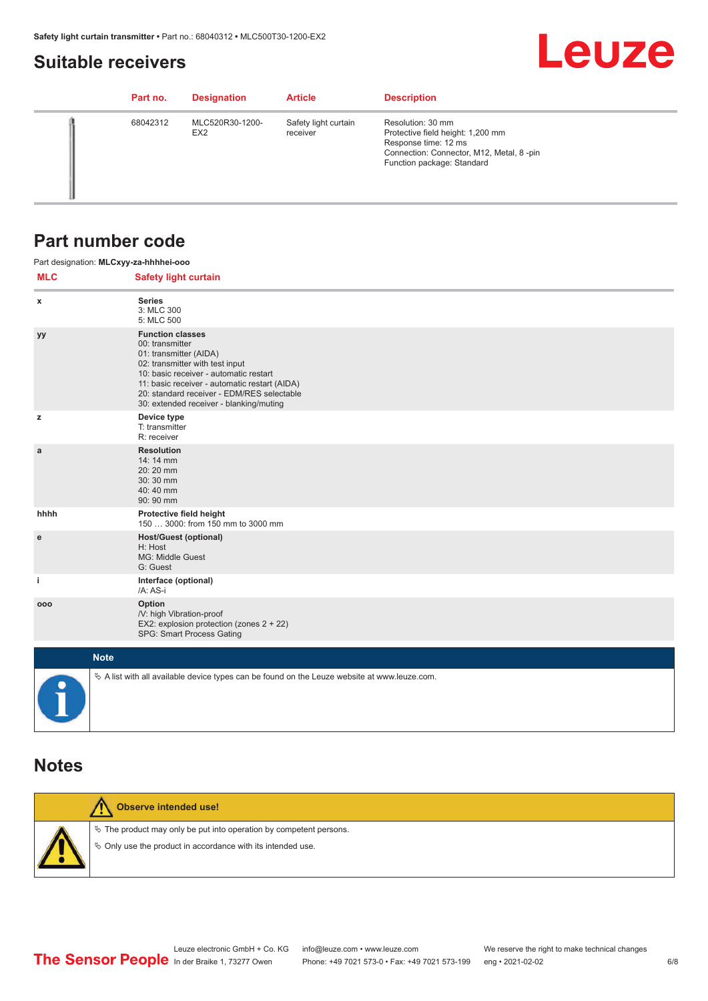# <span id="page-5-0"></span>**Suitable receivers**

# **Leuze**

| Part no. | <b>Designation</b>                 | <b>Article</b>                   | <b>Description</b>                                                                                                                                       |
|----------|------------------------------------|----------------------------------|----------------------------------------------------------------------------------------------------------------------------------------------------------|
| 68042312 | MLC520R30-1200-<br>EX <sub>2</sub> | Safety light curtain<br>receiver | Resolution: 30 mm<br>Protective field height: 1,200 mm<br>Response time: 12 ms<br>Connection: Connector, M12, Metal, 8-pin<br>Function package: Standard |

# **Part number code**

|            | Part designation: MLCxyy-za-hhhhei-ooo                                                                                                                                                                                                                                                      |  |  |  |  |
|------------|---------------------------------------------------------------------------------------------------------------------------------------------------------------------------------------------------------------------------------------------------------------------------------------------|--|--|--|--|
| <b>MLC</b> | <b>Safety light curtain</b>                                                                                                                                                                                                                                                                 |  |  |  |  |
| x          | <b>Series</b><br>3: MLC 300<br>5: MLC 500                                                                                                                                                                                                                                                   |  |  |  |  |
| уу         | <b>Function classes</b><br>00: transmitter<br>01: transmitter (AIDA)<br>02: transmitter with test input<br>10: basic receiver - automatic restart<br>11: basic receiver - automatic restart (AIDA)<br>20: standard receiver - EDM/RES selectable<br>30: extended receiver - blanking/muting |  |  |  |  |
| z          | Device type<br>T: transmitter<br>R: receiver                                                                                                                                                                                                                                                |  |  |  |  |
| a          | <b>Resolution</b><br>14: 14 mm<br>20:20 mm<br>30:30 mm<br>40:40 mm<br>90: 90 mm                                                                                                                                                                                                             |  |  |  |  |
| hhhh       | Protective field height<br>150  3000: from 150 mm to 3000 mm                                                                                                                                                                                                                                |  |  |  |  |
| e          | <b>Host/Guest (optional)</b><br>H: Host<br>MG: Middle Guest<br>G: Guest                                                                                                                                                                                                                     |  |  |  |  |
| j.         | Interface (optional)<br>/A: AS-i                                                                                                                                                                                                                                                            |  |  |  |  |
| 000        | Option<br>/V: high Vibration-proof<br>EX2: explosion protection (zones 2 + 22)<br>SPG: Smart Process Gating                                                                                                                                                                                 |  |  |  |  |
|            | <b>Note</b>                                                                                                                                                                                                                                                                                 |  |  |  |  |
| $\bullet$  | $\&$ A list with all available device types can be found on the Leuze website at www.leuze.com.                                                                                                                                                                                             |  |  |  |  |

## **Notes**

| Observe intended use!                                                                                                                |
|--------------------------------------------------------------------------------------------------------------------------------------|
| $\&$ The product may only be put into operation by competent persons.<br>§ Only use the product in accordance with its intended use. |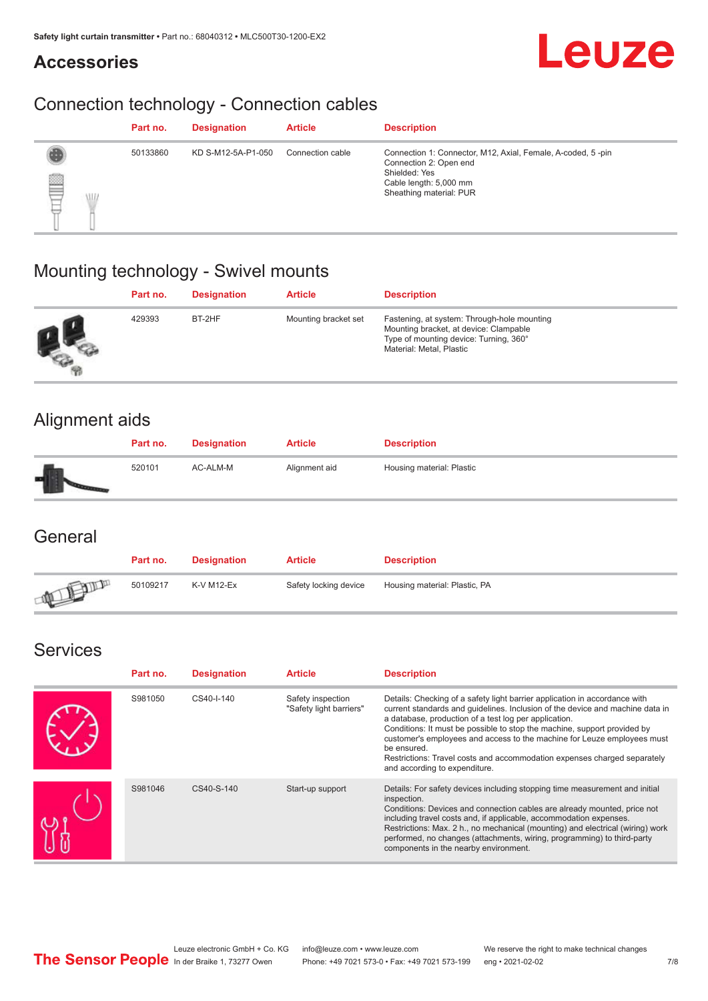# **Accessories**



# Connection technology - Connection cables

|                      | Part no. | <b>Designation</b> | <b>Article</b>   | <b>Description</b>                                                                                                                                          |
|----------------------|----------|--------------------|------------------|-------------------------------------------------------------------------------------------------------------------------------------------------------------|
| ▤<br><b>VII</b><br>₽ | 50133860 | KD S-M12-5A-P1-050 | Connection cable | Connection 1: Connector, M12, Axial, Female, A-coded, 5-pin<br>Connection 2: Open end<br>Shielded: Yes<br>Cable length: 5,000 mm<br>Sheathing material: PUR |

# Mounting technology - Swivel mounts

| Part no. | <b>Designation</b> | <b>Article</b>       | <b>Description</b>                                                                                                                                          |
|----------|--------------------|----------------------|-------------------------------------------------------------------------------------------------------------------------------------------------------------|
| 429393   | BT-2HF             | Mounting bracket set | Fastening, at system: Through-hole mounting<br>Mounting bracket, at device: Clampable<br>Type of mounting device: Turning, 360°<br>Material: Metal, Plastic |

# Alignment aids

| Part no. | <b>Designation</b> | <b>Article</b> | <b>Description</b>        |
|----------|--------------------|----------------|---------------------------|
| 520101   | AC-ALM-M           | Alignment aid  | Housing material: Plastic |

## **General**

|       | Part no. | <b>Designation</b> | <b>Article</b>        | <b>Description</b>            |
|-------|----------|--------------------|-----------------------|-------------------------------|
| ATELL | 50109217 | K-V M12-Ex         | Safety locking device | Housing material: Plastic, PA |

# Services

| Part no. | <b>Designation</b> | <b>Article</b>                               | <b>Description</b>                                                                                                                                                                                                                                                                                                                                                                                                                                                                                      |
|----------|--------------------|----------------------------------------------|---------------------------------------------------------------------------------------------------------------------------------------------------------------------------------------------------------------------------------------------------------------------------------------------------------------------------------------------------------------------------------------------------------------------------------------------------------------------------------------------------------|
| S981050  | CS40-I-140         | Safety inspection<br>"Safety light barriers" | Details: Checking of a safety light barrier application in accordance with<br>current standards and guidelines. Inclusion of the device and machine data in<br>a database, production of a test log per application.<br>Conditions: It must be possible to stop the machine, support provided by<br>customer's employees and access to the machine for Leuze employees must<br>be ensured.<br>Restrictions: Travel costs and accommodation expenses charged separately<br>and according to expenditure. |
| S981046  | CS40-S-140         | Start-up support                             | Details: For safety devices including stopping time measurement and initial<br>inspection.<br>Conditions: Devices and connection cables are already mounted, price not<br>including travel costs and, if applicable, accommodation expenses.<br>Restrictions: Max. 2 h., no mechanical (mounting) and electrical (wiring) work<br>performed, no changes (attachments, wiring, programming) to third-party<br>components in the nearby environment.                                                      |